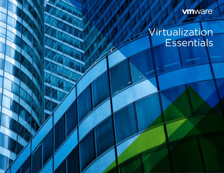**vm**ware®

# Virtualization **Essentials**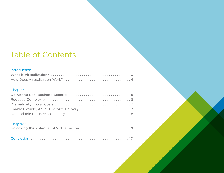## Table of Contents

#### [Introduction](#page-2-0)

#### [Chapter 1](#page-4-0)

#### [Chapter 2](#page-8-0)

|--|--|--|

|--|--|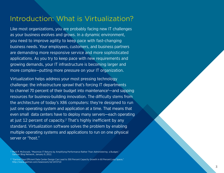## <span id="page-2-0"></span>Introduction: What is Virtualization?

Like most organizations, you are probably facing new IT challenges as your business evolves and grows. In a dynamic environment, you need to improve agility to keep pace with fast-changing business needs. Your employees, customers, and business partners are demanding more responsive service and more sophisticated applications. As you try to keep pace with new requirements and growing demands, your IT infrastructure is becoming larger and more complex—putting more pressure on your IT organization.

Virtualization helps address your most pressing technology challenge: the infrastructure sprawl that's forcing IT departments to channel 70 percent of their budget into maintenance<sup>1</sup>—and sapping resources for business-building innovation. The difficulty stems from the architecture of today's X86 computers: they're designed to run just one operating system and application at a time. That means that even small data centers have to deploy many servers—each operating at just 12 percent of capacity.<sup>2</sup> That's highly inefficient by any standard. Virtualization software solves the problem by enabling multiple operating systems and applications to run on one physical server or "host."

<sup>1</sup> Mark P. McDonald, "Maximize IT Returns by Amplifying Performance Rather Than Administering a Budget," Gartner Blog Network, January 9, 2012.

<sup>2 &</sup>quot;Gartner Says Efficient Data Center Design Can Lead to 300 Percent Capacity Growth in 60 Percent Less Space," [http://www.gartner.com/newsroom/id/1472714](www.vmware.com/virtualization)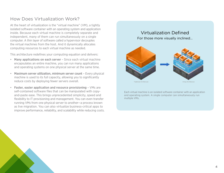### <span id="page-3-0"></span>How Does Virtualization Work?

At the heart of virtualization is the "virtual machine" (VM), a tightly isolated software container with an operating system and application inside. Because each virtual machine is completely separate and independent, many of them can run simultaneously on a single computer. A thin layer of software called a hypervisor decouples the virtual machines from the host. And it dynamically allocates computing resources to each virtual machine as needed.

This architecture redefines your computing equation and delivers:

- Many applications on each server Since each virtual machine encapsulates an entire machine, you can run many applications and operating systems on one physical server at the same time.
- Maximum server utilization, minimum server count Every physical machine is used to its full capacity, allowing you to significantly reduce costs by deploying fewer servers overall.
- Faster, easier application and resource provisioning VMs are self-contained software files that can be manipulated with copyand-paste ease. This brings unprecedented simplicity, speed and flexibility to IT provisioning and management. You can even transfer running VMs from one physical server to another—a process known as live migration. You can also virtualize business-critical apps to improve performance, reliability, and scalability while reducing costs.

#### Virtualization Defined For those more visually inclined...



Each virtual machine is an isolated software container with an application and operating system. A single computer can simultaneously run multiple VMs.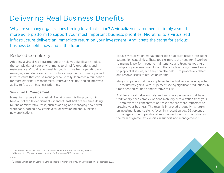## <span id="page-4-0"></span>Delivering Real Business Benefits

Why are so many organizations turning to virtualization? A virtualized environment is simply a smarter, more agile platform to support your most important business priorities. Migrating to a virtualized infrastructure delivers an immediate return on your investment. And it sets the stage for serious business benefits now and in the future.

#### Reduced Complexity

Adopting a virtualized infrastructure can help you significantly reduce the complexity of your environment, to simplify operations and maintenance. Virtualization enables you to move from operating and managing discrete, siloed infrastructure components toward a pooled infrastructure that can be managed holistically. It creates a foundation for more efficient IT management, improved security, and an improved ability to focus on business priorities.

#### Simplified IT Management

Managing servers in a physical IT environment is time-consuming. Nine out of ten IT departments spend at least half of their time doing routine administrative tasks, such as adding and managing new server workloads, adding new employees, or developing and launching new applications.3

Today's virtualization management tools typically include intelligent automation capabilities. These tools eliminate the need for IT workers to manually perform routine maintenance and troubleshooting on multiple physical machines. In fact, these tools not only make it easy to pinpoint IT issues, but they can also help IT to proactively detect and resolve issues to reduce downtime.

Many companies that have implemented virtualization have reported IT productivity gains, with 73 percent seeing significant reductions in time spent on routine administrative tasks.<sup>4</sup>

And because it helps simplify and automate processes that have traditionally been complex or done manually, virtualization frees your IT employees to concentrate on tasks that are more important to growing your business. The result is improved productivity, return on investment, and strategic focus. In a recent survey, 66 percent of IT managers found operational improvements with virtualization in the form of greater efficiencies in support and management.<sup>5</sup>

3 "The Benefits of Virtualization for Small and Medium Businesses: Survey Results." VMware. [http://www.vmware.com/files/pdf/VMware-SMB-Survey.pdf](www.vmware.com/virtualization).

4 Ibid

5 "Desktop Virtualization Earns Its Stripes: Intel's IT Manager Survey on Virtualization." September 2011.

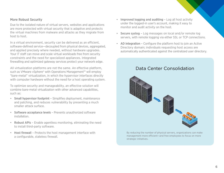#### More Robust Security

Due to the isolated nature of virtual servers, websites and applications are more protected with virtual security that is adaptive and protects the virtual machines from malware and attacks as they migrate from host to host.

In a virtual environment, security can be delivered as an efficient, software-defined service—decoupled from physical devices, aggregated, and applied precisely where needed, without hardware upgrades. Your IT staff can move and scale virtual workloads free from security constraints and the need for specialized appliances. Integrated firewalling and optimized gateway services protect your network edge.

All virtualization platforms are not the same. An effective platform, such as VMware vSphere® with Operations Management™ will employ "bare-metal" virtualization, in which the hypervisor interfaces directly with computer hardware without the need for a host operating system.

To optimize security and manageability, an effective solution will combine bare-metal virtualization with other advanced capabilities, such as:

- Small hypervisor footprint Simplifies deployment, maintenance and patching, and reduces vulnerability by presenting a much smaller attack surface.
- Software acceptance levels Prevents unauthorized software installation.
- Robust APIs Enable agentless monitoring, eliminating the need to install third-party software.
- Host firewall Protects the host management interface with a configurable, stateless firewall.
- Improved logging and auditing Log all host activity under the logged-in user's account, making it easy to monitor and audit activity on the host.
- Secure syslog Log messages on local and/or remote log servers, with remote logging via either SSL or TCP connections.
- AD integration Configure the platform host to join an Active Directory domain; individuals requesting host access are automatically authenticated against the centralized user directory.

#### Data Center Consolidation



By reducing the number of physical servers, organizations can make management more efficient—and free employees to focus on more strategic initiatives.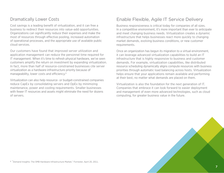### <span id="page-6-0"></span>Dramatically Lower Costs

Cost savings is a leading benefit of virtualization, and it can free a business to redirect their resources into value-add opportunities. Organizations can significantly reduce their expenses and make the most of resources through effective pooling, increased automation of operational processes, and the appropriate use of available public cloud services.

Our customers have found that improved server utilization and application management can reduce the personnel time required for IT management. When it's time to refresh physical hardware, we've seen customers amplify the return on investment by expanding virtualization. In fact, more than half of resource-constrained businesses cite server virtualization as a hardware-infrastructure priority because of manageability, lower costs and efficiency.6

Virtualization can also help resource- or budget-constrained companies reduce CapEx by consolidating servers and OpEx by minimizing maintenance, power and cooling requirements. Smaller businesses with fewer IT resources and assets might eliminate the need for dozens of servers.

### Enable Flexible, Agile IT Service Delivery

Business responsiveness is critical today for companies of all sizes. In a competitive environment, it's more important than ever to anticipate and meet changing business needs. Virtualization creates a dynamic infrastructure that helps businesses react more quickly to changing market demands, evolving business conditions, or new customer requirements.

Once an organization has begun its migration to a virtual environment, it can leverage advanced virtualization capabilities to build an IT infrastructure that is highly responsive to business and customer demands. For example, virtualization capabilities, like distributed resource scheduling dynamically aligns compute resources with business priorities through automatic load balancing across hosts. Virtualization helps ensure that your applications remain available and performing at their best, no matter what demands are placed on them.

Virtualization is also the foundation for the next generation of IT. Companies that embrace it can look forward to easier deployment and management of even more advanced technologies, such as cloud computing, for greater business value in the future.



6 "Demand Insights: The SMB Hardware Infrastructure Market," Forrester, April 20, 2011.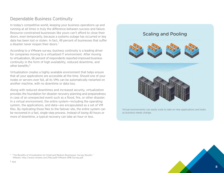### <span id="page-7-0"></span>Dependable Business Continuity

In today's competitive world, keeping your business operations up and running at all times is truly the difference between success and failure. Resource-constrained businesses like yours can't afford to close their doors, even temporarily, because a systems outage has occurred or key data has been lost or stolen. In fact, 49 percent of businesses that suffer a disaster never reopen their doors.<sup>7</sup>

According to a VMware survey, business continuity is a leading driver for companies moving to a virtualized IT environment. After moving to virtualization, 66 percent of respondents reported improved business continuity in the form of high availability, reduced downtime, and other benefits.8

Virtualization creates a highly available environment that helps ensure that all your applications are accessible all the time. Should one of your nodes or servers ever fail, all its VMs can be automatically restarted on another machine, with no downtime or data loss.

Along with reduced downtimes and increased security, virtualization provides the foundation for disaster recovery planning and preparedness in case of an unexpected event such as a flood, fire, or other disaster. In a virtual environment, the entire system—including the operating system, the applications, and data—are encapsulated as a set of VM files. By replicating those files to the failover site, the entire system can be recovered in a fast, single-step process. Instead of losing 40 hours or more of downtime, a typical recovery can take an hour or less.

#### Scaling and Pooling



Virtual environments can easily scale to take on new applications and tasks as business needs change.

<sup>7 &</sup>quot;The Benefits of Virtualization for Small and Medium Businesses: Survey Results." VMware.<http://www.vmware.com/files/pdf/VMware-SMB-Survey.pdf>.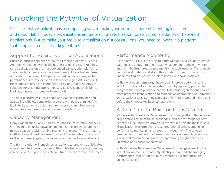## <span id="page-8-0"></span>Unlocking the Potential of Virtualization

It's clear that virtualization is a compelling way to make your business more efficient, agile, secure, and dependable. Today's organizations are embracing virtualization for server consolidation of IT-owned applications. But to make your move to virtualization a successful one, you need to invest in a platform that supports a rich set of key features.

## Support for Business Critical Applications

Business-critical applications are the lifeblood of any business. An effective solution will enable businesses of all sizes to run these core applications on the most advanced virtualization platform. Traditionally, organizations have been hesitant to virtualize these applications because of the perceived risk in many areas, such as performance, security, or even the fear of change itself. As a result, these applications have continued to rely on traditional physical solutions for ensuring application service levels and availability, leading to increased complexity and costs.

The right platform will deliver high application performance and availability with low complexity and cost with peace of mind. And it will be based on a trusted, secure hypervisor architecture for dependable performance and maximum availability.

## Capacity Management

Many organizations lack visibility into their infrastructure capacity. Or they may be using unwieldy, manual home-grown solutions to manage capacity within their virtual environments. This can lead to inefficient use of hardware resources and IT administrator time. And as IT environments grow, the capacity problem will only get worse.

The right solution will enable organizations to employ sophisticated operations intelligence to optimize their infrastructure capacity, so they can achieve the highest possible ROI from their hardware investment.

### Performance Monitoring

All too often, IT lacks the tools to aggregate and analyze performance data quickly enough to take proactive action and reduce downtime on their infrastructures. Legacy monitoring tools used by IT are based on low-level metrics and static thresholds. This leads to a lack of understanding on root cause, alert storms, and false positives.

With the right platform, organizations can improve performance and avoid disruption of virtual infrastructures, by applying predictive analytics that drive proactive action. This helps organizations enable more proactive identification and remediation of emerging performance and capacity issues. So they can get out in front of potential problems before they impact key business operations.

## A Rich Platform Built for Today's Needs

vSphere with Operations Management is a robust platform that enables organizations to meet these challenges, and set the stage for new benefits as their business grows and evolves. It offers the most trusted virtualization platform with critical operational enhancements in performance monitoring and capacity management. The solution is designed for businesses of all sizes to run applications at high service levels, and maximize hardware savings through higher capacity utilization and consolidation ratios.

With vSphere with Operations Management, IT can gain visibility into virtual environments, proactively identify and remediate emerging performance issues, and optimize resource utilization through a unified console.